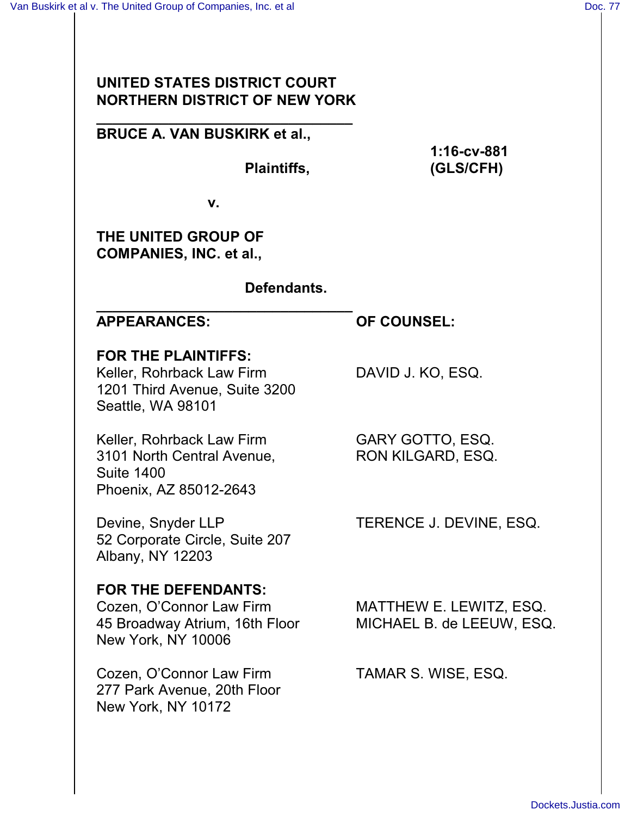# **UNITED STATES DISTRICT COURT NORTHERN DISTRICT OF NEW YORK**

**\_\_\_\_\_\_\_\_\_\_\_\_\_\_\_\_\_\_\_\_\_\_\_\_\_\_\_\_\_\_\_\_ BRUCE A. VAN BUSKIRK et al.,**

**1:16-cv-881 Plaintiffs, (GLS/CFH)**

**v.**

**\_\_\_\_\_\_\_\_\_\_\_\_\_\_\_\_\_\_\_\_\_\_\_\_\_\_\_\_\_\_\_\_**

**THE UNITED GROUP OF COMPANIES, INC. et al.,** 

**Defendants.**

# **APPEARANCES: OF COUNSEL:**

**FOR THE PLAINTIFFS:**

Keller, Rohrback Law Firm DAVID J. KO, ESQ. 1201 Third Avenue, Suite 3200 Seattle, WA 98101

Keller, Rohrback Law Firm GARY GOTTO, ESQ. 3101 North Central Avenue, RON KILGARD, ESQ. Suite 1400 Phoenix, AZ 85012-2643

Devine, Snyder LLP TERENCE J. DEVINE, ESQ. 52 Corporate Circle, Suite 207 Albany, NY 12203

# **FOR THE DEFENDANTS:**

Cozen, O'Connor Law Firm MATTHEW E. LEWITZ, ESQ. 45 Broadway Atrium, 16th Floor MICHAEL B. de LEEUW, ESQ. New York, NY 10006

Cozen, O'Connor Law Firm TAMAR S. WISE, ESQ. 277 Park Avenue, 20th Floor New York, NY 10172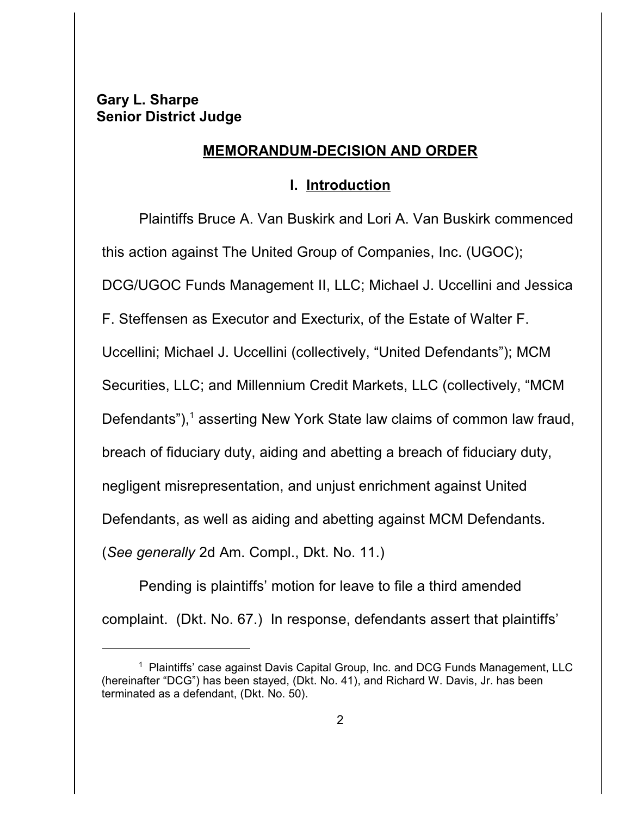# **Gary L. Sharpe Senior District Judge**

### **MEMORANDUM-DECISION AND ORDER**

### **I. Introduction**

Plaintiffs Bruce A. Van Buskirk and Lori A. Van Buskirk commenced this action against The United Group of Companies, Inc. (UGOC); DCG/UGOC Funds Management II, LLC; Michael J. Uccellini and Jessica F. Steffensen as Executor and Execturix, of the Estate of Walter F. Uccellini; Michael J. Uccellini (collectively, "United Defendants"); MCM Securities, LLC; and Millennium Credit Markets, LLC (collectively, "MCM Defendants"),<sup>1</sup> asserting New York State law claims of common law fraud, breach of fiduciary duty, aiding and abetting a breach of fiduciary duty, negligent misrepresentation, and unjust enrichment against United Defendants, as well as aiding and abetting against MCM Defendants. (*See generally* 2d Am. Compl., Dkt. No. 11.)

Pending is plaintiffs' motion for leave to file a third amended complaint. (Dkt. No. 67.) In response, defendants assert that plaintiffs'

<sup>&</sup>lt;sup>1</sup> Plaintiffs' case against Davis Capital Group, Inc. and DCG Funds Management, LLC (hereinafter "DCG") has been stayed, (Dkt. No. 41), and Richard W. Davis, Jr. has been terminated as a defendant, (Dkt. No. 50).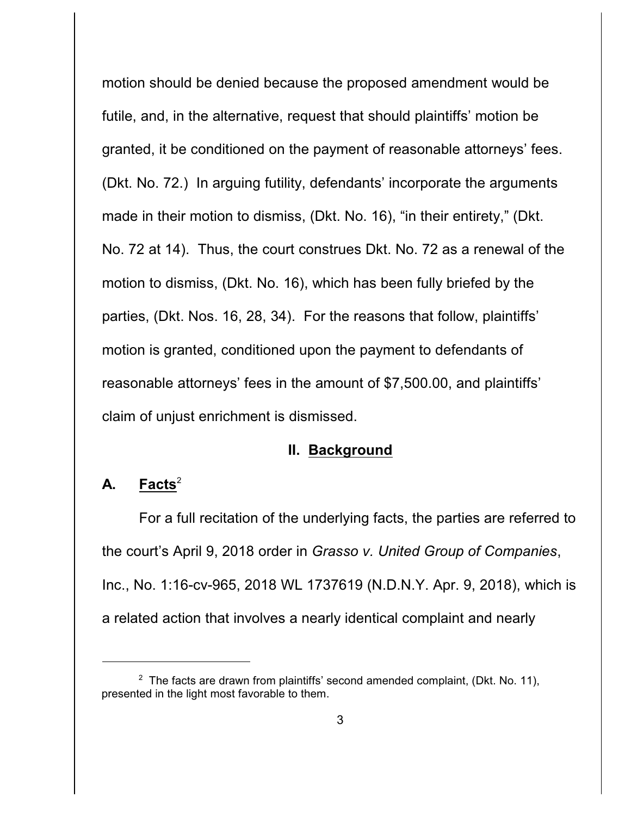motion should be denied because the proposed amendment would be futile, and, in the alternative, request that should plaintiffs' motion be granted, it be conditioned on the payment of reasonable attorneys' fees. (Dkt. No. 72.) In arguing futility, defendants' incorporate the arguments made in their motion to dismiss, (Dkt. No. 16), "in their entirety," (Dkt. No. 72 at 14). Thus, the court construes Dkt. No. 72 as a renewal of the motion to dismiss, (Dkt. No. 16), which has been fully briefed by the parties, (Dkt. Nos. 16, 28, 34). For the reasons that follow, plaintiffs' motion is granted, conditioned upon the payment to defendants of reasonable attorneys' fees in the amount of \$7,500.00, and plaintiffs' claim of unjust enrichment is dismissed.

#### **II. Background**

# A. Facts<sup>2</sup>

For a full recitation of the underlying facts, the parties are referred to the court's April 9, 2018 order in *Grasso v. United Group of Companies*, Inc., No. 1:16-cv-965, 2018 WL 1737619 (N.D.N.Y. Apr. 9, 2018), which is a related action that involves a nearly identical complaint and nearly

<sup>&</sup>lt;sup>2</sup> The facts are drawn from plaintiffs' second amended complaint, (Dkt. No. 11), presented in the light most favorable to them.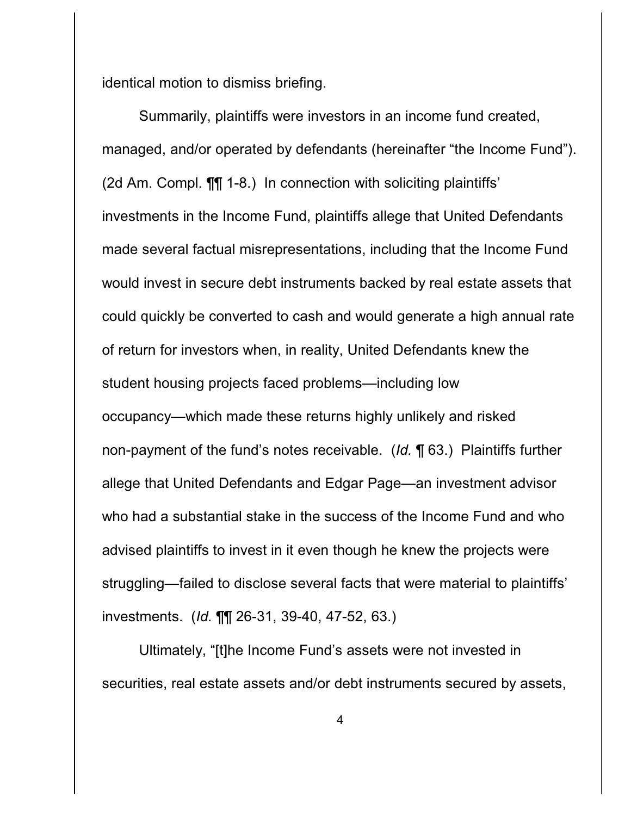identical motion to dismiss briefing.

Summarily, plaintiffs were investors in an income fund created, managed, and/or operated by defendants (hereinafter "the Income Fund"). (2d Am. Compl. ¶¶ 1-8.) In connection with soliciting plaintiffs' investments in the Income Fund, plaintiffs allege that United Defendants made several factual misrepresentations, including that the Income Fund would invest in secure debt instruments backed by real estate assets that could quickly be converted to cash and would generate a high annual rate of return for investors when, in reality, United Defendants knew the student housing projects faced problems—including low occupancy—which made these returns highly unlikely and risked non-payment of the fund's notes receivable. (*Id.* ¶ 63.) Plaintiffs further allege that United Defendants and Edgar Page—an investment advisor who had a substantial stake in the success of the Income Fund and who advised plaintiffs to invest in it even though he knew the projects were struggling—failed to disclose several facts that were material to plaintiffs' investments. (*Id.* ¶¶ 26-31, 39-40, 47-52, 63.)

Ultimately, "[t]he Income Fund's assets were not invested in securities, real estate assets and/or debt instruments secured by assets,

4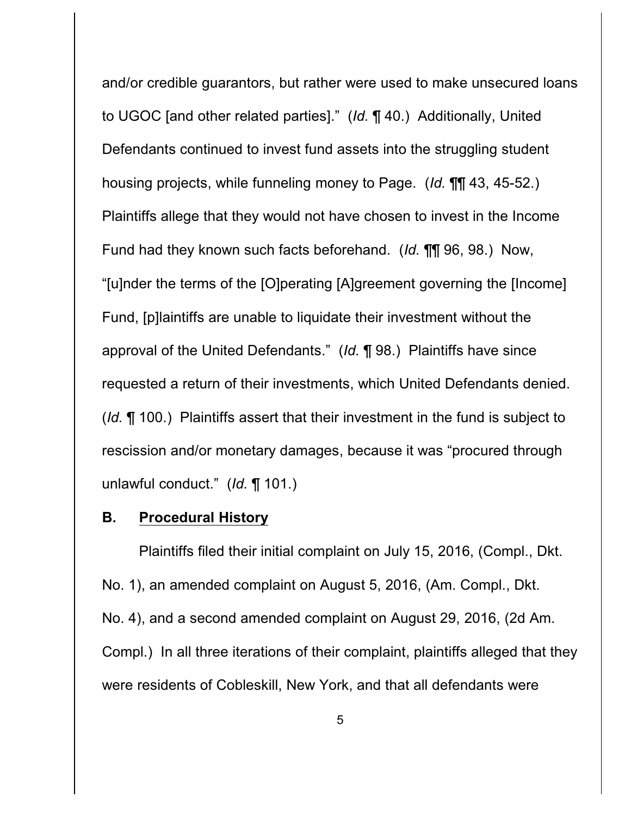and/or credible guarantors, but rather were used to make unsecured loans to UGOC [and other related parties]." (*Id.* ¶ 40.) Additionally, United Defendants continued to invest fund assets into the struggling student housing projects, while funneling money to Page. (*Id.* ¶¶ 43, 45-52.) Plaintiffs allege that they would not have chosen to invest in the Income Fund had they known such facts beforehand. (*Id.* ¶¶ 96, 98.)Now, "[u]nder the terms of the [O]perating [A]greement governing the [Income] Fund, [p]laintiffs are unable to liquidate their investment without the approval of the United Defendants." (*Id.* ¶ 98.) Plaintiffs have since requested a return of their investments, which United Defendants denied. (*Id.* ¶ 100.) Plaintiffs assert that their investment in the fund is subject to rescission and/or monetary damages, because it was "procured through unlawful conduct." (*Id.* ¶ 101.)

### **B. Procedural History**

Plaintiffs filed their initial complaint on July 15, 2016, (Compl., Dkt. No. 1), an amended complaint on August 5, 2016, (Am. Compl., Dkt. No. 4), and a second amended complaint on August 29, 2016, (2d Am. Compl.) In all three iterations of their complaint, plaintiffs alleged that they were residents of Cobleskill, New York, and that all defendants were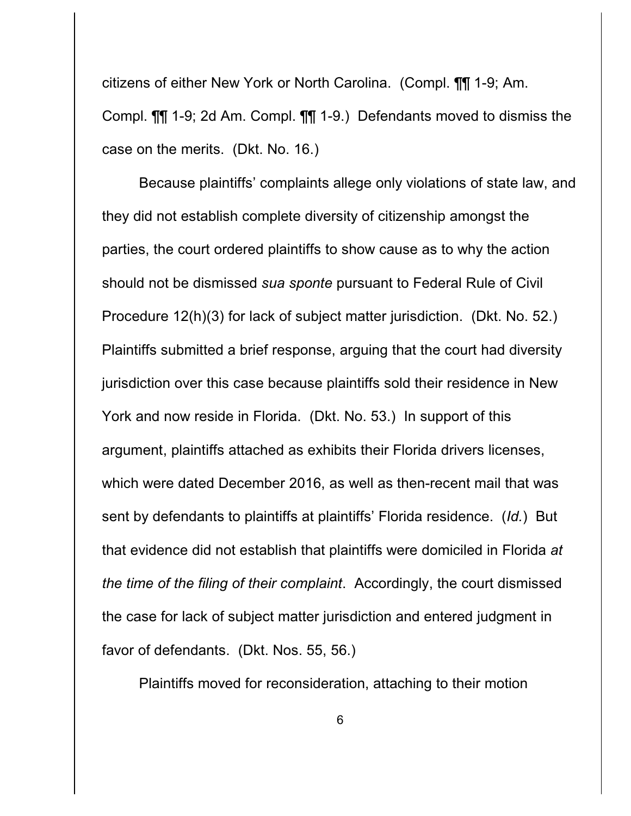citizens of either New York or North Carolina. (Compl. ¶¶ 1-9; Am. Compl. ¶¶ 1-9; 2d Am. Compl. ¶¶ 1-9.) Defendants moved to dismiss the case on the merits. (Dkt. No. 16.)

Because plaintiffs' complaints allege only violations of state law, and they did not establish complete diversity of citizenship amongst the parties, the court ordered plaintiffs to show cause as to why the action should not be dismissed *sua sponte* pursuant to Federal Rule of Civil Procedure 12(h)(3) for lack of subject matter jurisdiction. (Dkt. No. 52.) Plaintiffs submitted a brief response, arguing that the court had diversity jurisdiction over this case because plaintiffs sold their residence in New York and now reside in Florida. (Dkt. No. 53.) In support of this argument, plaintiffs attached as exhibits their Florida drivers licenses, which were dated December 2016, as well as then-recent mail that was sent by defendants to plaintiffs at plaintiffs' Florida residence. (*Id.*) But that evidence did not establish that plaintiffs were domiciled in Florida *at the time of the filing of their complaint*. Accordingly, the court dismissed the case for lack of subject matter jurisdiction and entered judgment in favor of defendants. (Dkt. Nos. 55, 56.)

Plaintiffs moved for reconsideration, attaching to their motion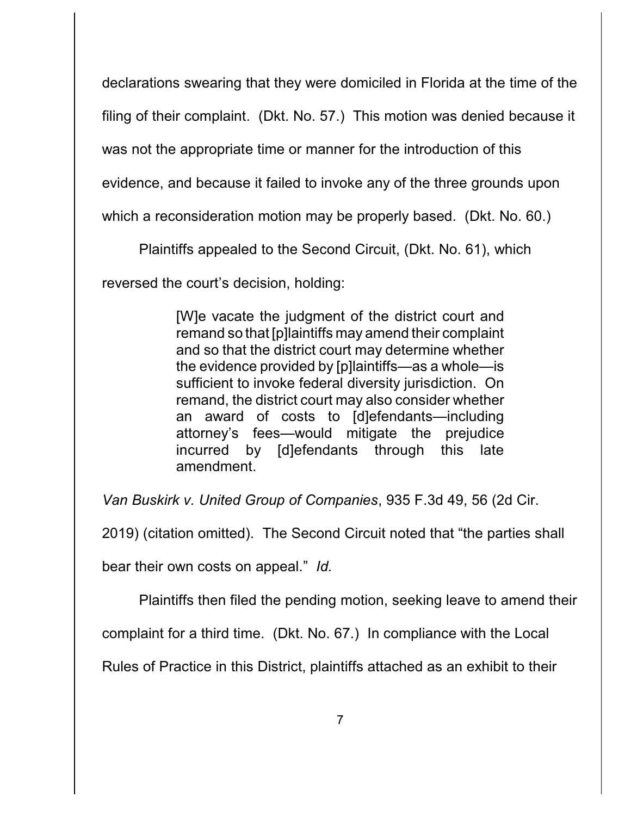declarations swearing that they were domiciled in Florida at the time of the

filing of their complaint. (Dkt. No. 57.) This motion was denied because it

was not the appropriate time or manner for the introduction of this

evidence, and because it failed to invoke any of the three grounds upon

which a reconsideration motion may be properly based. (Dkt. No. 60.)

Plaintiffs appealed to the Second Circuit, (Dkt. No. 61), which

reversed the court's decision, holding:

[W]e vacate the judgment of the district court and remand so that [p]laintiffs may amend their complaint and so that the district court may determine whether the evidence provided by [p]laintiffs—as a whole—is sufficient to invoke federal diversity jurisdiction. On remand, the district court may also consider whether an award of costs to [d]efendants—including attorney's fees—would mitigate the prejudice incurred by [d]efendants through this late amendment.

*Van Buskirk v. United Group of Companies*, 935 F.3d 49, 56 (2d Cir.

2019) (citation omitted). The Second Circuit noted that "the parties shall

bear their own costs on appeal." *Id.*

Plaintiffs then filed the pending motion, seeking leave to amend their

complaint for a third time. (Dkt. No. 67.) In compliance with the Local

Rules of Practice in this District, plaintiffs attached as an exhibit to their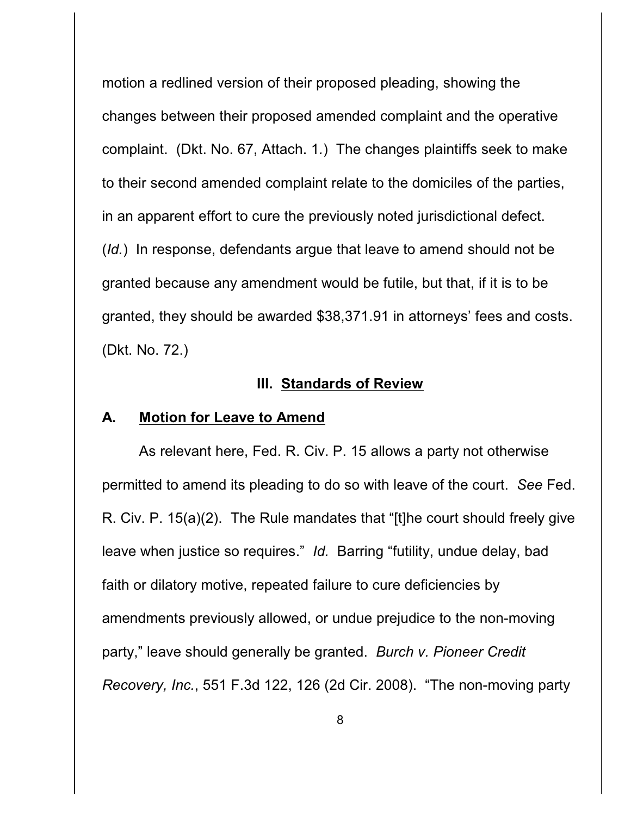motion a redlined version of their proposed pleading, showing the changes between their proposed amended complaint and the operative complaint. (Dkt. No. 67, Attach. 1*.*) The changes plaintiffs seek to make to their second amended complaint relate to the domiciles of the parties, in an apparent effort to cure the previously noted jurisdictional defect. (*Id.*) In response, defendants argue that leave to amend should not be granted because any amendment would be futile, but that, if it is to be granted, they should be awarded \$38,371.91 in attorneys' fees and costs. (Dkt. No. 72.)

### **III. Standards of Review**

#### **A. Motion for Leave to Amend**

As relevant here, Fed. R. Civ. P. 15 allows a party not otherwise permitted to amend its pleading to do so with leave of the court. *See* Fed. R. Civ. P. 15(a)(2). The Rule mandates that "[t]he court should freely give leave when justice so requires." *Id.* Barring "futility, undue delay, bad faith or dilatory motive, repeated failure to cure deficiencies by amendments previously allowed, or undue prejudice to the non-moving party," leave should generally be granted. *Burch v. Pioneer Credit Recovery, Inc.*, 551 F.3d 122, 126 (2d Cir. 2008). "The non-moving party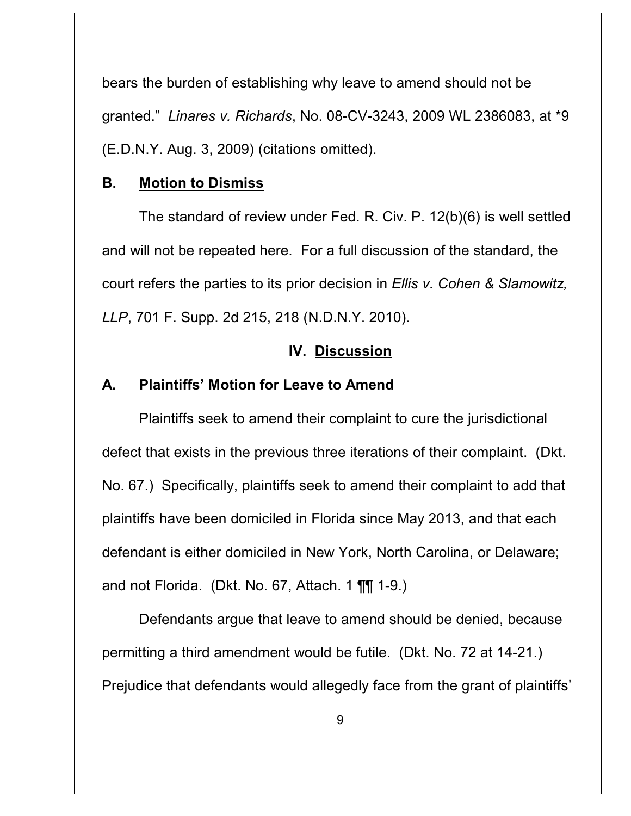bears the burden of establishing why leave to amend should not be granted." *Linares v. Richards*, No. 08-CV-3243, 2009 WL 2386083, at \*9 (E.D.N.Y. Aug. 3, 2009) (citations omitted).

### **B. Motion to Dismiss**

The standard of review under Fed. R. Civ. P. 12(b)(6) is well settled and will not be repeated here. For a full discussion of the standard, the court refers the parties to its prior decision in *Ellis v. Cohen & Slamowitz, LLP*, 701 F. Supp. 2d 215, 218 (N.D.N.Y. 2010).

### **IV. Discussion**

### **A. Plaintiffs' Motion for Leave to Amend**

Plaintiffs seek to amend their complaint to cure the jurisdictional defect that exists in the previous three iterations of their complaint. (Dkt. No. 67.) Specifically, plaintiffs seek to amend their complaint to add that plaintiffs have been domiciled in Florida since May 2013, and that each defendant is either domiciled in New York, North Carolina, or Delaware; and not Florida. (Dkt. No. 67, Attach. 1 ¶¶ 1-9.)

Defendants argue that leave to amend should be denied, because permitting a third amendment would be futile. (Dkt. No. 72 at 14-21.) Prejudice that defendants would allegedly face from the grant of plaintiffs'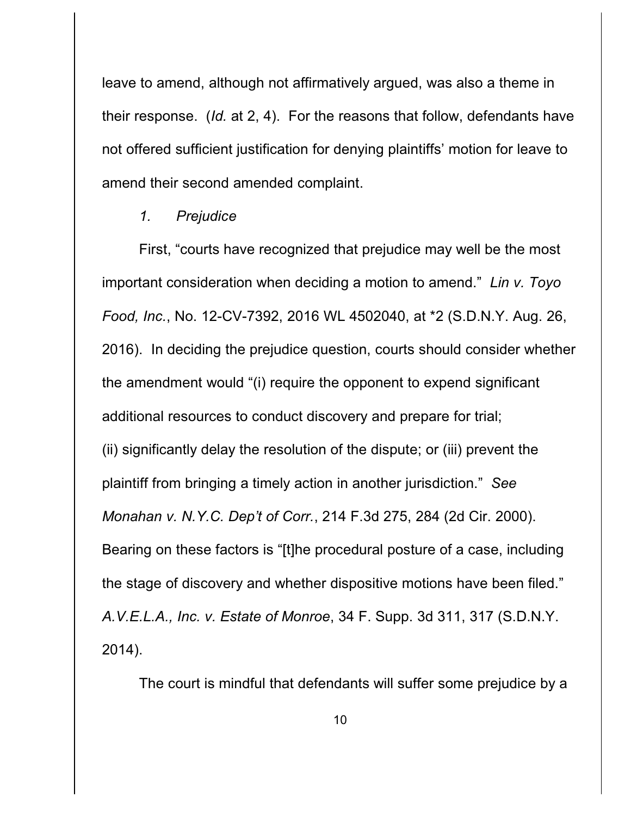leave to amend, although not affirmatively argued, was also a theme in their response. (*Id.* at 2, 4). For the reasons that follow, defendants have not offered sufficient justification for denying plaintiffs' motion for leave to amend their second amended complaint.

### *1. Prejudice*

First, "courts have recognized that prejudice may well be the most important consideration when deciding a motion to amend." *Lin v. Toyo Food, Inc.*, No. 12-CV-7392, 2016 WL 4502040, at \*2 (S.D.N.Y. Aug. 26, 2016). In deciding the prejudice question, courts should consider whether the amendment would "(i) require the opponent to expend significant additional resources to conduct discovery and prepare for trial; (ii) significantly delay the resolution of the dispute; or (iii) prevent the plaintiff from bringing a timely action in another jurisdiction." *See Monahan v. N.Y.C. Dep't of Corr.*, 214 F.3d 275, 284 (2d Cir. 2000). Bearing on these factors is "[t]he procedural posture of a case, including the stage of discovery and whether dispositive motions have been filed." *A.V.E.L.A., Inc. v. Estate of Monroe*, 34 F. Supp. 3d 311, 317 (S.D.N.Y. 2014).

The court is mindful that defendants will suffer some prejudice by a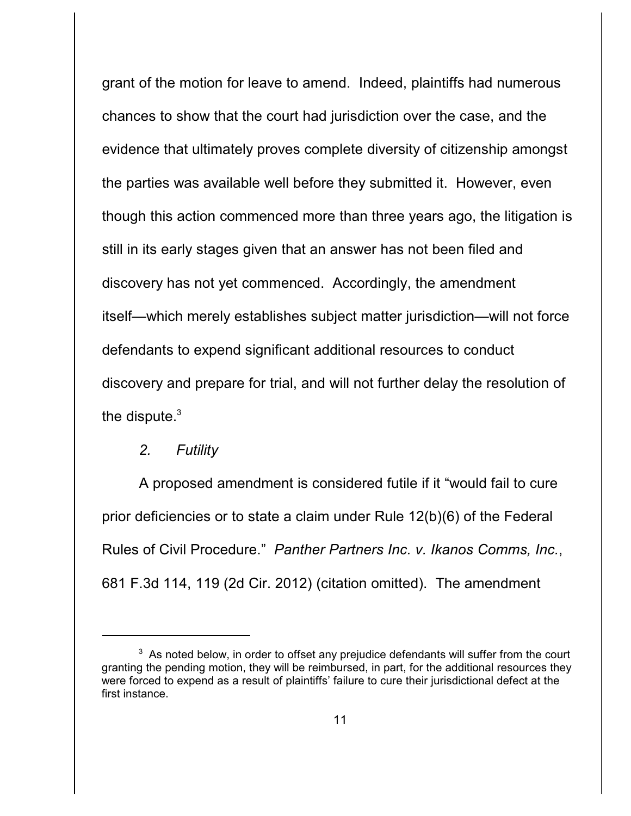grant of the motion for leave to amend. Indeed, plaintiffs had numerous chances to show that the court had jurisdiction over the case, and the evidence that ultimately proves complete diversity of citizenship amongst the parties was available well before they submitted it. However, even though this action commenced more than three years ago, the litigation is still in its early stages given that an answer has not been filed and discovery has not yet commenced. Accordingly, the amendment itself—which merely establishes subject matter jurisdiction—will not force defendants to expend significant additional resources to conduct discovery and prepare for trial, and will not further delay the resolution of the dispute.<sup>3</sup>

### *2. Futility*

A proposed amendment is considered futile if it "would fail to cure prior deficiencies or to state a claim under Rule 12(b)(6) of the Federal Rules of Civil Procedure." *Panther Partners Inc. v. Ikanos Comms, Inc.*, 681 F.3d 114, 119 (2d Cir. 2012) (citation omitted). The amendment

 $3$  As noted below, in order to offset any prejudice defendants will suffer from the court granting the pending motion, they will be reimbursed, in part, for the additional resources they were forced to expend as a result of plaintiffs' failure to cure their jurisdictional defect at the first instance.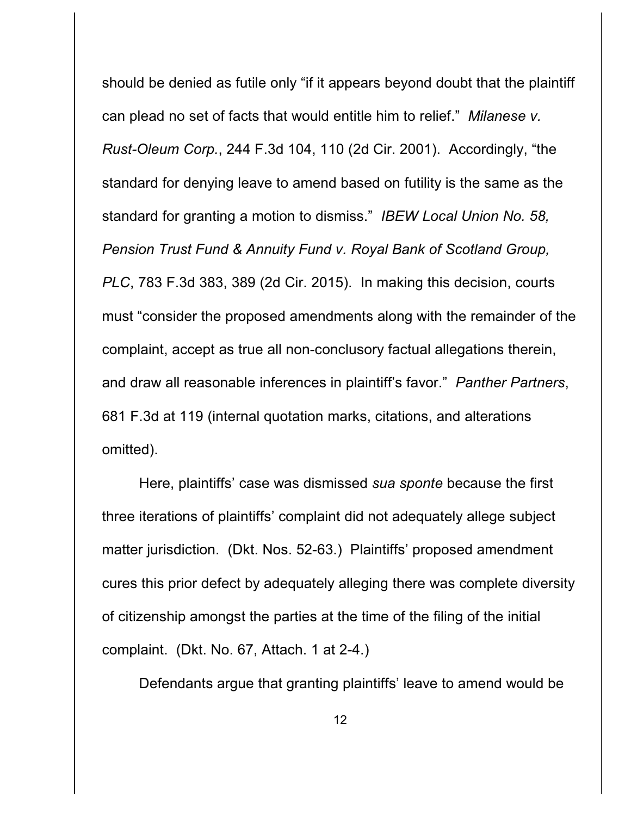should be denied as futile only "if it appears beyond doubt that the plaintiff can plead no set of facts that would entitle him to relief." *Milanese v. Rust-Oleum Corp.*, 244 F.3d 104, 110 (2d Cir. 2001). Accordingly, "the standard for denying leave to amend based on futility is the same as the standard for granting a motion to dismiss." *IBEW Local Union No. 58, Pension Trust Fund & Annuity Fund v. Royal Bank of Scotland Group, PLC*, 783 F.3d 383, 389 (2d Cir. 2015). In making this decision, courts must "consider the proposed amendments along with the remainder of the complaint, accept as true all non-conclusory factual allegations therein, and draw all reasonable inferences in plaintiff's favor." *Panther Partners*, 681 F.3d at 119 (internal quotation marks, citations, and alterations omitted).

Here, plaintiffs' case was dismissed *sua sponte* because the first three iterations of plaintiffs' complaint did not adequately allege subject matter jurisdiction. (Dkt. Nos. 52-63.) Plaintiffs' proposed amendment cures this prior defect by adequately alleging there was complete diversity of citizenship amongst the parties at the time of the filing of the initial complaint. (Dkt. No. 67, Attach. 1 at 2-4.)

Defendants argue that granting plaintiffs' leave to amend would be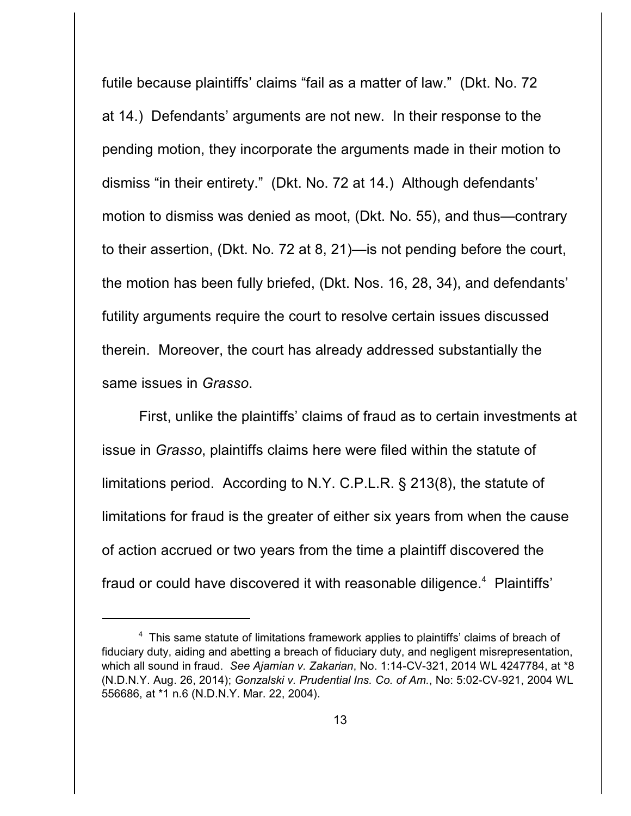futile because plaintiffs' claims "fail as a matter of law." (Dkt. No. 72 at 14.) Defendants' arguments are not new. In their response to the pending motion, they incorporate the arguments made in their motion to dismiss "in their entirety." (Dkt. No. 72 at 14.) Although defendants' motion to dismiss was denied as moot, (Dkt. No. 55), and thus—contrary to their assertion, (Dkt. No. 72 at 8, 21)—is not pending before the court, the motion has been fully briefed, (Dkt. Nos. 16, 28, 34), and defendants' futility arguments require the court to resolve certain issues discussed therein. Moreover, the court has already addressed substantially the same issues in *Grasso*.

First, unlike the plaintiffs' claims of fraud as to certain investments at issue in *Grasso*, plaintiffs claims here were filed within the statute of limitations period. According to N.Y. C.P.L.R. § 213(8), the statute of limitations for fraud is the greater of either six years from when the cause of action accrued or two years from the time a plaintiff discovered the fraud or could have discovered it with reasonable diligence.<sup>4</sup> Plaintiffs'

<sup>&</sup>lt;sup>4</sup> This same statute of limitations framework applies to plaintiffs' claims of breach of fiduciary duty, aiding and abetting a breach of fiduciary duty, and negligent misrepresentation, which all sound in fraud. *See Ajamian v. Zakarian*, No. 1:14-CV-321, 2014 WL 4247784, at \*8 (N.D.N.Y. Aug. 26, 2014); *Gonzalski v. Prudential Ins. Co. of Am.*, No: 5:02-CV-921, 2004 WL 556686, at \*1 n.6 (N.D.N.Y. Mar. 22, 2004).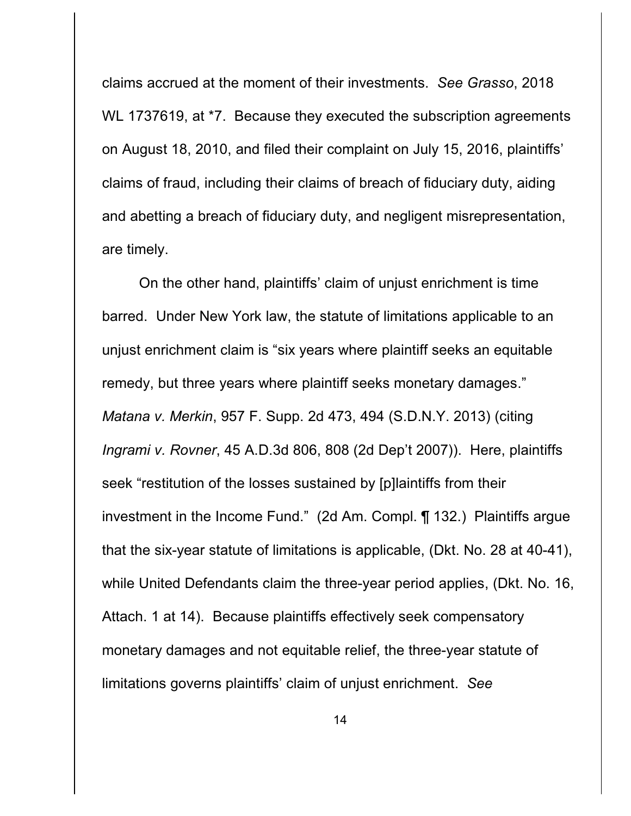claims accrued at the moment of their investments. *See Grasso*, 2018 WL 1737619, at <sup>\*7</sup>. Because they executed the subscription agreements on August 18, 2010, and filed their complaint on July 15, 2016, plaintiffs' claims of fraud, including their claims of breach of fiduciary duty, aiding and abetting a breach of fiduciary duty, and negligent misrepresentation, are timely.

On the other hand, plaintiffs' claim of unjust enrichment is time barred. Under New York law, the statute of limitations applicable to an unjust enrichment claim is "six years where plaintiff seeks an equitable remedy, but three years where plaintiff seeks monetary damages." *Matana v. Merkin*, 957 F. Supp. 2d 473, 494 (S.D.N.Y. 2013) (citing *Ingrami v. Rovner*, 45 A.D.3d 806, 808 (2d Dep't 2007)). Here, plaintiffs seek "restitution of the losses sustained by [p]laintiffs from their investment in the Income Fund." (2d Am. Compl. ¶ 132.) Plaintiffs argue that the six-year statute of limitations is applicable, (Dkt. No. 28 at 40-41), while United Defendants claim the three-year period applies, (Dkt. No. 16, Attach. 1 at 14). Because plaintiffs effectively seek compensatory monetary damages and not equitable relief, the three-year statute of limitations governs plaintiffs' claim of unjust enrichment. *See*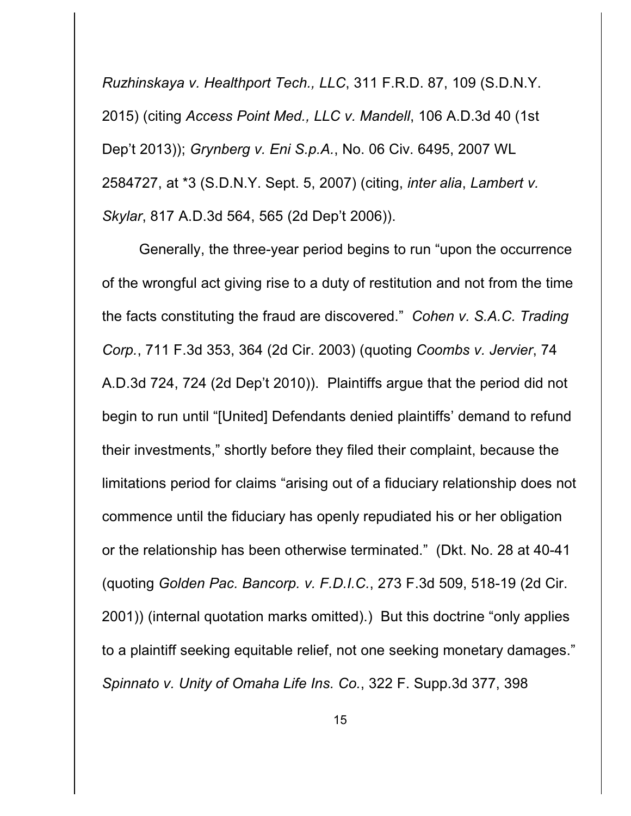*Ruzhinskaya v. Healthport Tech., LLC*, 311 F.R.D. 87, 109 (S.D.N.Y. 2015) (citing *Access Point Med., LLC v. Mandell*, 106 A.D.3d 40 (1st Dep't 2013)); *Grynberg v. Eni S.p.A.*, No. 06 Civ. 6495, 2007 WL 2584727, at \*3 (S.D.N.Y. Sept. 5, 2007) (citing, *inter alia*, *Lambert v. Skylar*, 817 A.D.3d 564, 565 (2d Dep't 2006)).

Generally, the three-year period begins to run "upon the occurrence of the wrongful act giving rise to a duty of restitution and not from the time the facts constituting the fraud are discovered." *Cohen v. S.A.C. Trading Corp.*, 711 F.3d 353, 364 (2d Cir. 2003) (quoting *Coombs v. Jervier*, 74 A.D.3d 724, 724 (2d Dep't 2010)). Plaintiffs argue that the period did not begin to run until "[United] Defendants denied plaintiffs' demand to refund their investments," shortly before they filed their complaint, because the limitations period for claims "arising out of a fiduciary relationship does not commence until the fiduciary has openly repudiated his or her obligation or the relationship has been otherwise terminated." (Dkt. No. 28 at 40-41 (quoting *Golden Pac. Bancorp. v. F.D.I.C.*, 273 F.3d 509, 518-19 (2d Cir. 2001)) (internal quotation marks omitted).) But this doctrine "only applies to a plaintiff seeking equitable relief, not one seeking monetary damages." *Spinnato v. Unity of Omaha Life Ins. Co.*, 322 F. Supp.3d 377, 398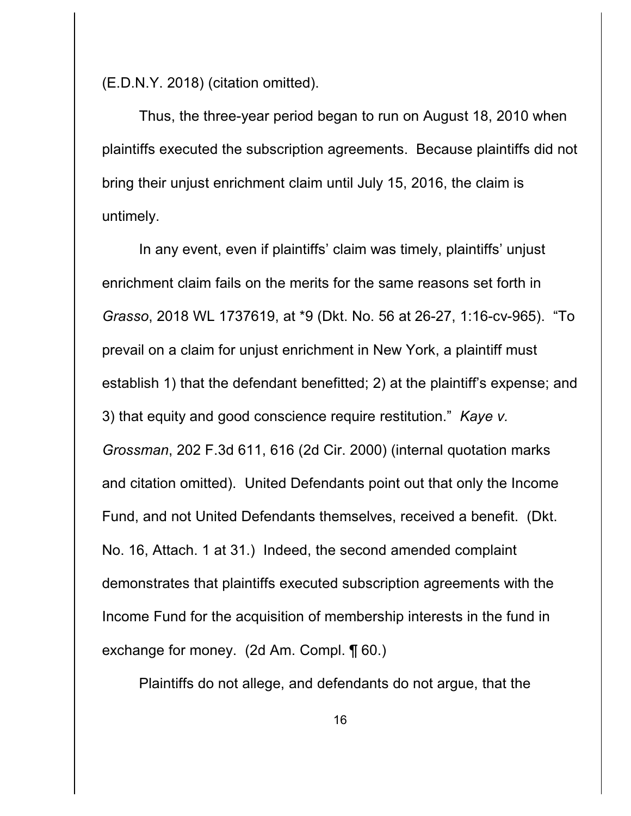(E.D.N.Y. 2018) (citation omitted).

Thus, the three-year period began to run on August 18, 2010 when plaintiffs executed the subscription agreements. Because plaintiffs did not bring their unjust enrichment claim until July 15, 2016, the claim is untimely.

In any event, even if plaintiffs' claim was timely, plaintiffs' unjust enrichment claim fails on the merits for the same reasons set forth in *Grasso*, 2018 WL 1737619, at \*9 (Dkt. No. 56 at 26-27, 1:16-cv-965). "To prevail on a claim for unjust enrichment in New York, a plaintiff must establish 1) that the defendant benefitted; 2) at the plaintiff's expense; and 3) that equity and good conscience require restitution." *Kaye v. Grossman*, 202 F.3d 611, 616 (2d Cir. 2000) (internal quotation marks and citation omitted). United Defendants point out that only the Income Fund, and not United Defendants themselves, received a benefit. (Dkt. No. 16, Attach. 1 at 31.) Indeed, the second amended complaint demonstrates that plaintiffs executed subscription agreements with the Income Fund for the acquisition of membership interests in the fund in exchange for money. (2d Am. Compl. ¶ 60.)

Plaintiffs do not allege, and defendants do not argue, that the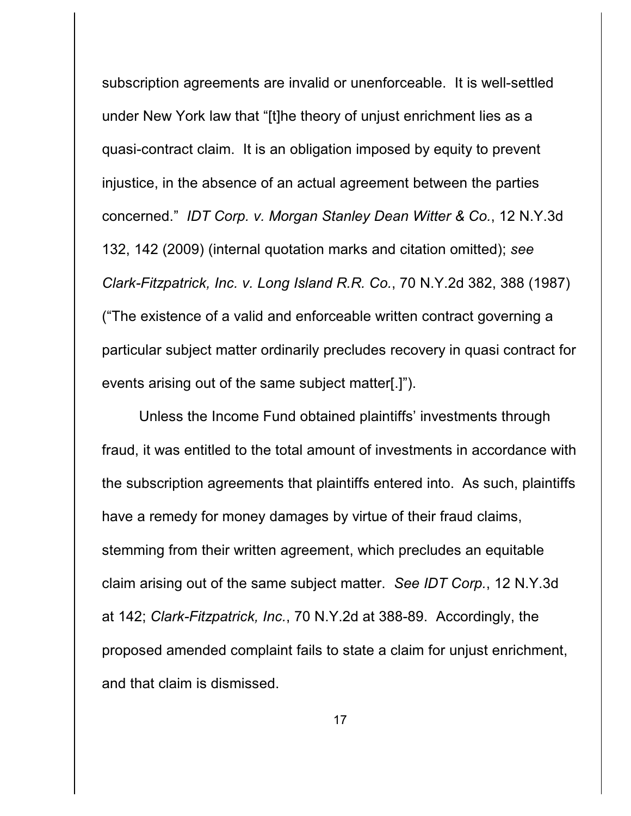subscription agreements are invalid or unenforceable. It is well-settled under New York law that "[t]he theory of unjust enrichment lies as a quasi-contract claim. It is an obligation imposed by equity to prevent injustice, in the absence of an actual agreement between the parties concerned." *IDT Corp. v. Morgan Stanley Dean Witter & Co.*, 12 N.Y.3d 132, 142 (2009) (internal quotation marks and citation omitted); *see Clark-Fitzpatrick, Inc. v. Long Island R.R. Co.*, 70 N.Y.2d 382, 388 (1987) ("The existence of a valid and enforceable written contract governing a particular subject matter ordinarily precludes recovery in quasi contract for events arising out of the same subject matter[.]").

Unless the Income Fund obtained plaintiffs' investments through fraud, it was entitled to the total amount of investments in accordance with the subscription agreements that plaintiffs entered into. As such, plaintiffs have a remedy for money damages by virtue of their fraud claims, stemming from their written agreement, which precludes an equitable claim arising out of the same subject matter. *See IDT Corp.*, 12 N.Y.3d at 142; *Clark-Fitzpatrick, Inc.*, 70 N.Y.2d at 388-89. Accordingly, the proposed amended complaint fails to state a claim for unjust enrichment, and that claim is dismissed.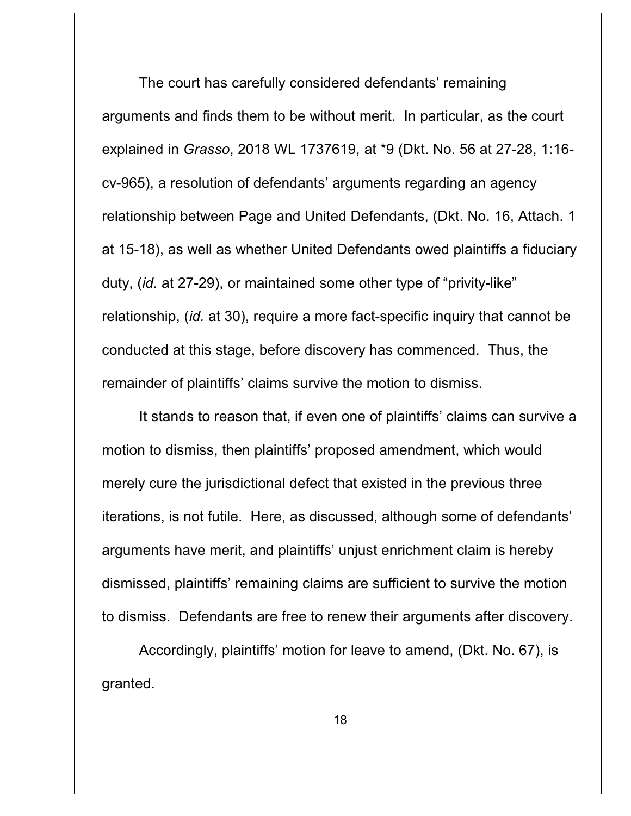The court has carefully considered defendants' remaining arguments and finds them to be without merit. In particular, as the court explained in *Grasso*, 2018 WL 1737619, at \*9 (Dkt. No. 56 at 27-28, 1:16 cv-965), a resolution of defendants' arguments regarding an agency relationship between Page and United Defendants, (Dkt. No. 16, Attach. 1 at 15-18), as well as whether United Defendants owed plaintiffs a fiduciary duty, (*id.* at 27-29), or maintained some other type of "privity-like" relationship, (*id.* at 30), require a more fact-specific inquiry that cannot be conducted at this stage, before discovery has commenced. Thus, the remainder of plaintiffs' claims survive the motion to dismiss.

It stands to reason that, if even one of plaintiffs' claims can survive a motion to dismiss, then plaintiffs' proposed amendment, which would merely cure the jurisdictional defect that existed in the previous three iterations, is not futile. Here, as discussed, although some of defendants' arguments have merit, and plaintiffs' unjust enrichment claim is hereby dismissed, plaintiffs' remaining claims are sufficient to survive the motion to dismiss. Defendants are free to renew their arguments after discovery.

Accordingly, plaintiffs' motion for leave to amend, (Dkt. No. 67), is granted.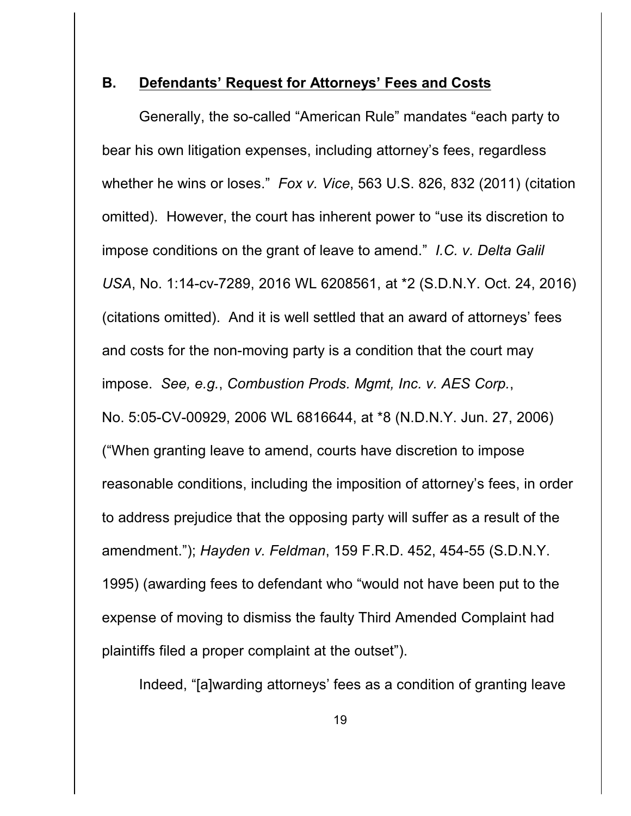### **B. Defendants' Request for Attorneys' Fees and Costs**

Generally, the so-called "American Rule" mandates "each party to bear his own litigation expenses, including attorney's fees, regardless whether he wins or loses." *Fox v. Vice*, 563 U.S. 826, 832 (2011) (citation omitted). However, the court has inherent power to "use its discretion to impose conditions on the grant of leave to amend." *I.C. v. Delta Galil USA*, No. 1:14-cv-7289, 2016 WL 6208561, at \*2 (S.D.N.Y. Oct. 24, 2016) (citations omitted). And it is well settled that an award of attorneys' fees and costs for the non-moving party is a condition that the court may impose. *See, e.g.*, *Combustion Prods. Mgmt, Inc. v. AES Corp.*, No. 5:05-CV-00929, 2006 WL 6816644, at \*8 (N.D.N.Y. Jun. 27, 2006) ("When granting leave to amend, courts have discretion to impose reasonable conditions, including the imposition of attorney's fees, in order to address prejudice that the opposing party will suffer as a result of the amendment."); *Hayden v. Feldman*, 159 F.R.D. 452, 454-55 (S.D.N.Y. 1995) (awarding fees to defendant who "would not have been put to the expense of moving to dismiss the faulty Third Amended Complaint had plaintiffs filed a proper complaint at the outset").

Indeed, "[a]warding attorneys' fees as a condition of granting leave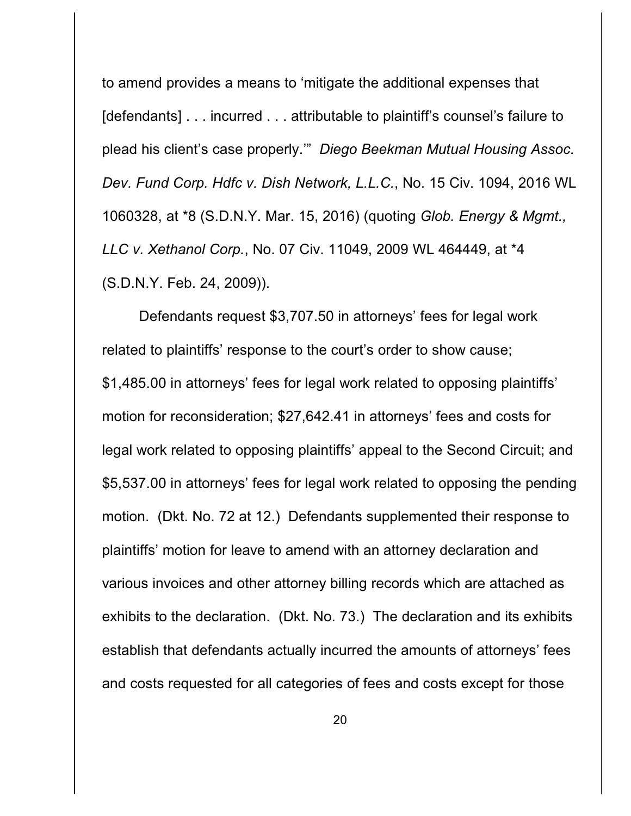to amend provides a means to 'mitigate the additional expenses that [defendants] . . . incurred . . . attributable to plaintiff's counsel's failure to plead his client's case properly.'" *Diego Beekman Mutual Housing Assoc. Dev. Fund Corp. Hdfc v. Dish Network, L.L.C.*, No. 15 Civ. 1094, 2016 WL 1060328, at \*8 (S.D.N.Y. Mar. 15, 2016) (quoting *Glob. Energy & Mgmt., LLC v. Xethanol Corp.*, No. 07 Civ. 11049, 2009 WL 464449, at \*4 (S.D.N.Y. Feb. 24, 2009)).

Defendants request \$3,707.50 in attorneys' fees for legal work related to plaintiffs' response to the court's order to show cause; \$1,485.00 in attorneys' fees for legal work related to opposing plaintiffs' motion for reconsideration; \$27,642.41 in attorneys' fees and costs for legal work related to opposing plaintiffs' appeal to the Second Circuit; and \$5,537.00 in attorneys' fees for legal work related to opposing the pending motion. (Dkt. No. 72 at 12.) Defendants supplemented their response to plaintiffs' motion for leave to amend with an attorney declaration and various invoices and other attorney billing records which are attached as exhibits to the declaration. (Dkt. No. 73.) The declaration and its exhibits establish that defendants actually incurred the amounts of attorneys' fees and costs requested for all categories of fees and costs except for those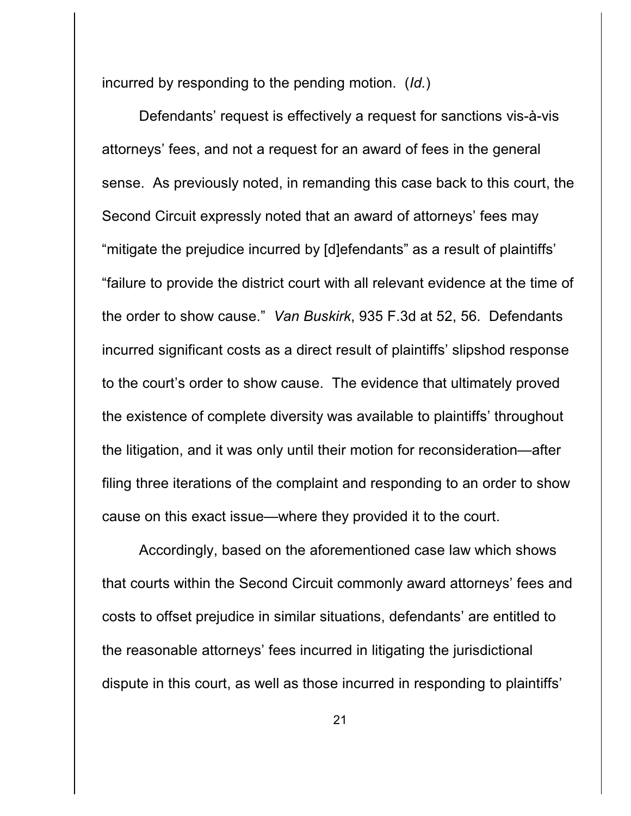incurred by responding to the pending motion. (*Id.*)

Defendants' request is effectively a request for sanctions vis-à-vis attorneys' fees, and not a request for an award of fees in the general sense. As previously noted, in remanding this case back to this court, the Second Circuit expressly noted that an award of attorneys' fees may "mitigate the prejudice incurred by [d]efendants" as a result of plaintiffs' "failure to provide the district court with all relevant evidence at the time of the order to show cause." *Van Buskirk*, 935 F.3d at 52, 56. Defendants incurred significant costs as a direct result of plaintiffs' slipshod response to the court's order to show cause. The evidence that ultimately proved the existence of complete diversity was available to plaintiffs' throughout the litigation, and it was only until their motion for reconsideration—after filing three iterations of the complaint and responding to an order to show cause on this exact issue—where they provided it to the court.

Accordingly, based on the aforementioned case law which shows that courts within the Second Circuit commonly award attorneys' fees and costs to offset prejudice in similar situations, defendants' are entitled to the reasonable attorneys' fees incurred in litigating the jurisdictional dispute in this court, as well as those incurred in responding to plaintiffs'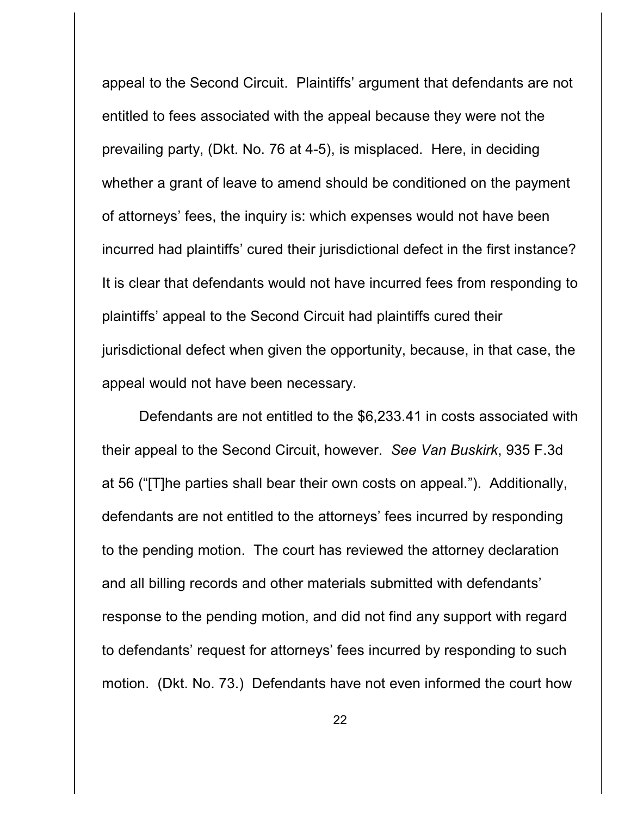appeal to the Second Circuit. Plaintiffs' argument that defendants are not entitled to fees associated with the appeal because they were not the prevailing party, (Dkt. No. 76 at 4-5), is misplaced. Here, in deciding whether a grant of leave to amend should be conditioned on the payment of attorneys' fees, the inquiry is: which expenses would not have been incurred had plaintiffs' cured their jurisdictional defect in the first instance? It is clear that defendants would not have incurred fees from responding to plaintiffs' appeal to the Second Circuit had plaintiffs cured their jurisdictional defect when given the opportunity, because, in that case, the appeal would not have been necessary.

Defendants are not entitled to the \$6,233.41 in costs associated with their appeal to the Second Circuit, however. *See Van Buskirk*, 935 F.3d at 56 ("[T]he parties shall bear their own costs on appeal."). Additionally, defendants are not entitled to the attorneys' fees incurred by responding to the pending motion. The court has reviewed the attorney declaration and all billing records and other materials submitted with defendants' response to the pending motion, and did not find any support with regard to defendants' request for attorneys' fees incurred by responding to such motion. (Dkt. No. 73.) Defendants have not even informed the court how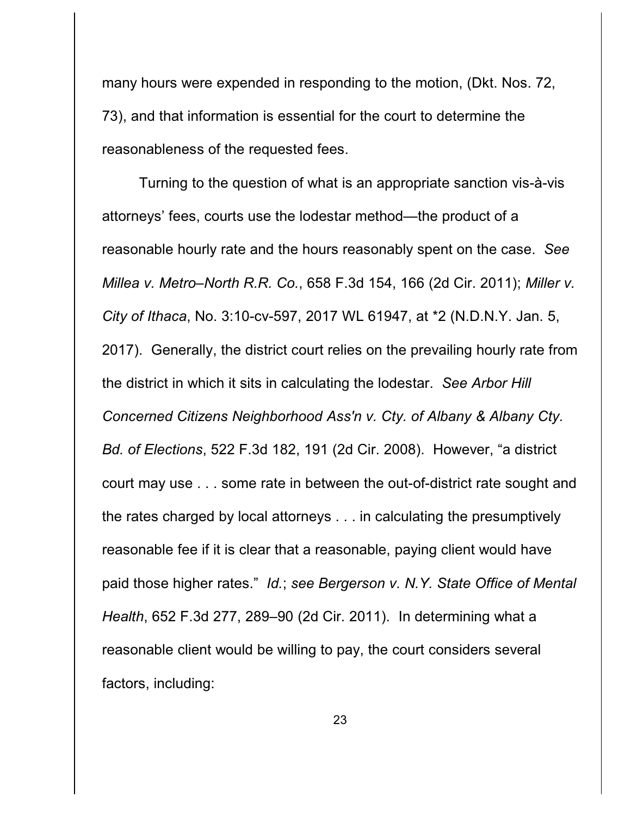many hours were expended in responding to the motion, (Dkt. Nos. 72, 73), and that information is essential for the court to determine the reasonableness of the requested fees.

Turning to the question of what is an appropriate sanction vis-à-vis attorneys' fees, courts use the lodestar method—the product of a reasonable hourly rate and the hours reasonably spent on the case. *See Millea v. Metro–North R.R. Co.*, 658 F.3d 154, 166 (2d Cir. 2011); *Miller v. City of Ithaca*, No. 3:10-cv-597, 2017 WL 61947, at \*2 (N.D.N.Y. Jan. 5, 2017). Generally, the district court relies on the prevailing hourly rate from the district in which it sits in calculating the lodestar. *See Arbor Hill Concerned Citizens Neighborhood Ass'n v. Cty. of Albany & Albany Cty. Bd. of Elections*, 522 F.3d 182, 191 (2d Cir. 2008). However, "a district court may use . . . some rate in between the out-of-district rate sought and the rates charged by local attorneys . . . in calculating the presumptively reasonable fee if it is clear that a reasonable, paying client would have paid those higher rates." *Id.*; *see Bergerson v. N.Y. State Office of Mental Health*, 652 F.3d 277, 289–90 (2d Cir. 2011). In determining what a reasonable client would be willing to pay, the court considers several factors, including: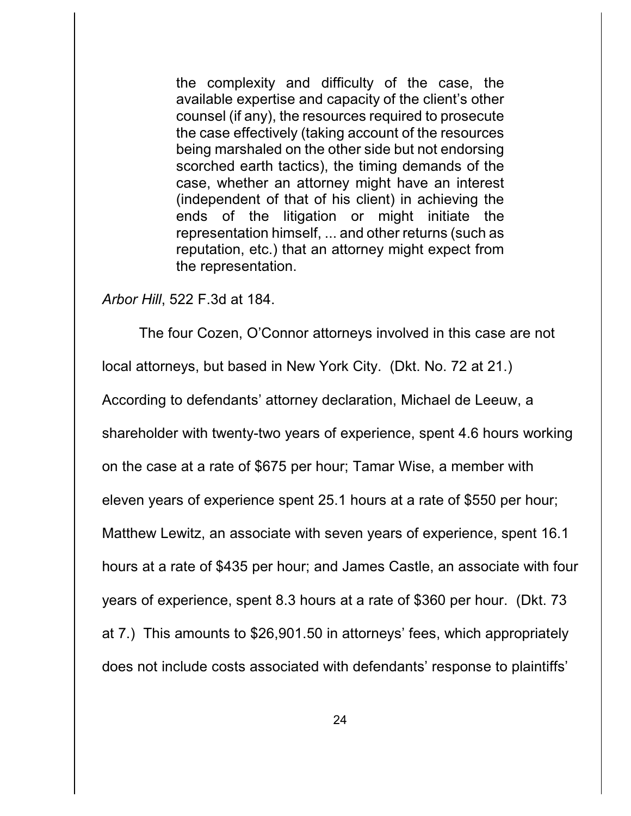the complexity and difficulty of the case, the available expertise and capacity of the client's other counsel (if any), the resources required to prosecute the case effectively (taking account of the resources being marshaled on the other side but not endorsing scorched earth tactics), the timing demands of the case, whether an attorney might have an interest (independent of that of his client) in achieving the ends of the litigation or might initiate the representation himself, ... and other returns (such as reputation, etc.) that an attorney might expect from the representation.

*Arbor Hill*, 522 F.3d at 184.

The four Cozen, O'Connor attorneys involved in this case are not local attorneys, but based in New York City. (Dkt. No. 72 at 21.) According to defendants' attorney declaration, Michael de Leeuw, a shareholder with twenty-two years of experience, spent 4.6 hours working on the case at a rate of \$675 per hour; Tamar Wise, a member with eleven years of experience spent 25.1 hours at a rate of \$550 per hour; Matthew Lewitz, an associate with seven years of experience, spent 16.1 hours at a rate of \$435 per hour; and James Castle, an associate with four years of experience, spent 8.3 hours at a rate of \$360 per hour. (Dkt. 73 at 7.) This amounts to \$26,901.50 in attorneys' fees, which appropriately does not include costs associated with defendants' response to plaintiffs'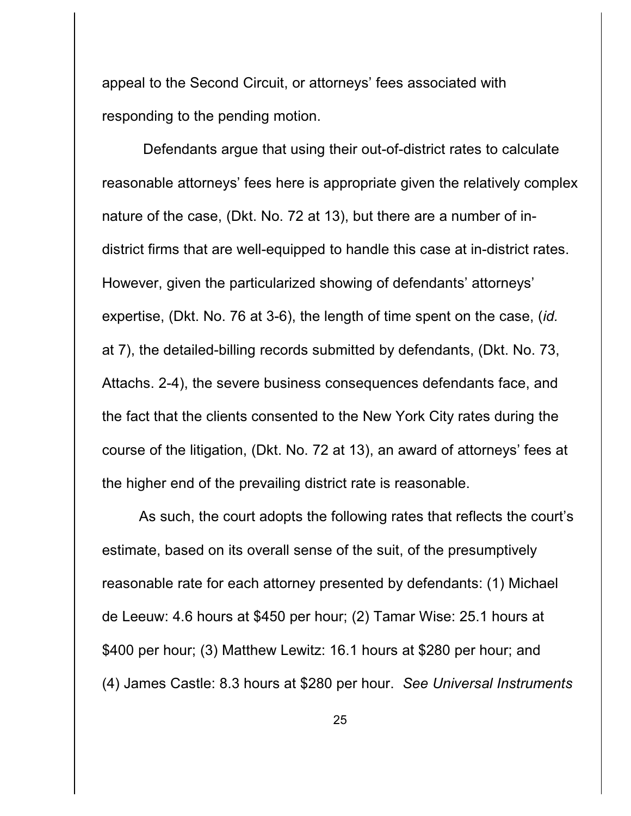appeal to the Second Circuit, or attorneys' fees associated with responding to the pending motion.

 Defendants argue that using their out-of-district rates to calculate reasonable attorneys' fees here is appropriate given the relatively complex nature of the case, (Dkt. No. 72 at 13), but there are a number of indistrict firms that are well-equipped to handle this case at in-district rates. However, given the particularized showing of defendants' attorneys' expertise, (Dkt. No. 76 at 3-6), the length of time spent on the case, (*id.* at 7), the detailed-billing records submitted by defendants, (Dkt. No. 73, Attachs. 2-4), the severe business consequences defendants face, and the fact that the clients consented to the New York City rates during the course of the litigation, (Dkt. No. 72 at 13), an award of attorneys' fees at the higher end of the prevailing district rate is reasonable.

As such, the court adopts the following rates that reflects the court's estimate, based on its overall sense of the suit, of the presumptively reasonable rate for each attorney presented by defendants: (1) Michael de Leeuw: 4.6 hours at \$450 per hour; (2) Tamar Wise: 25.1 hours at \$400 per hour; (3) Matthew Lewitz: 16.1 hours at \$280 per hour; and (4) James Castle: 8.3 hours at \$280 per hour. *See Universal Instruments*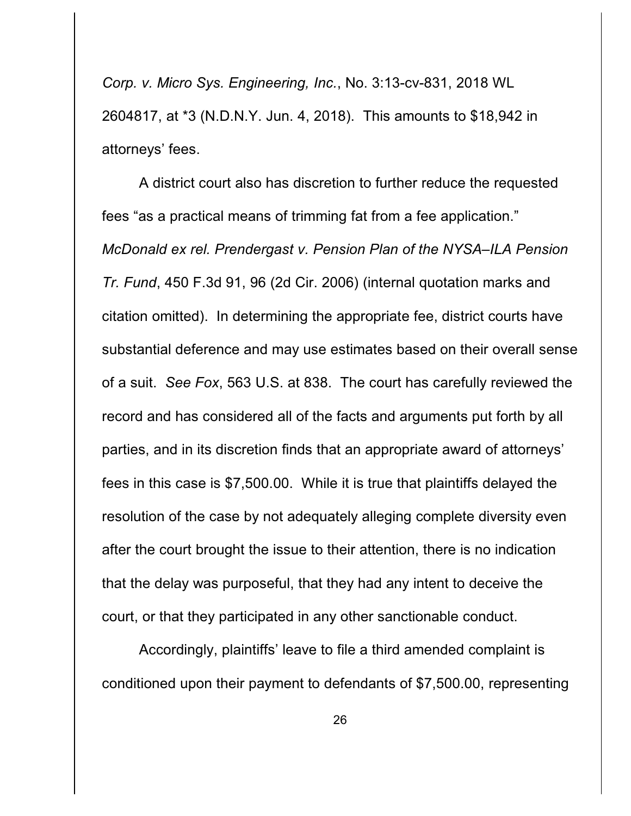*Corp. v. Micro Sys. Engineering, Inc.*, No. 3:13-cv-831, 2018 WL 2604817, at \*3 (N.D.N.Y. Jun. 4, 2018). This amounts to \$18,942 in attorneys' fees.

A district court also has discretion to further reduce the requested fees "as a practical means of trimming fat from a fee application." *McDonald ex rel. Prendergast v. Pension Plan of the NYSA–ILA Pension Tr. Fund*, 450 F.3d 91, 96 (2d Cir. 2006) (internal quotation marks and citation omitted). In determining the appropriate fee, district courts have substantial deference and may use estimates based on their overall sense of a suit. *See Fox*, 563 U.S. at 838. The court has carefully reviewed the record and has considered all of the facts and arguments put forth by all parties, and in its discretion finds that an appropriate award of attorneys' fees in this case is \$7,500.00. While it is true that plaintiffs delayed the resolution of the case by not adequately alleging complete diversity even after the court brought the issue to their attention, there is no indication that the delay was purposeful, that they had any intent to deceive the court, or that they participated in any other sanctionable conduct.

Accordingly, plaintiffs' leave to file a third amended complaint is conditioned upon their payment to defendants of \$7,500.00, representing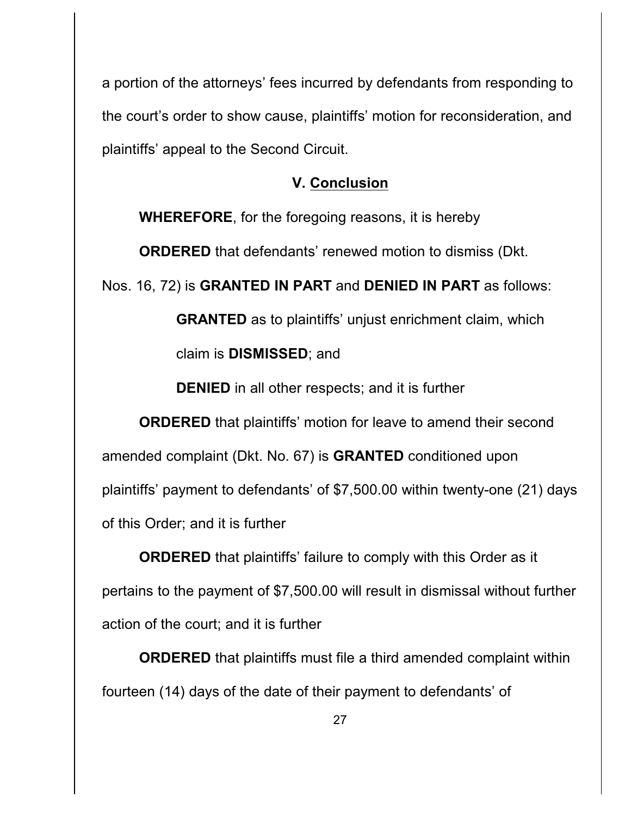a portion of the attorneys' fees incurred by defendants from responding to the court's order to show cause, plaintiffs' motion for reconsideration, and plaintiffs' appeal to the Second Circuit.

## **V. Conclusion**

**WHEREFORE**, for the foregoing reasons, it is hereby

**ORDERED** that defendants' renewed motion to dismiss (Dkt.

Nos. 16, 72) is **GRANTED IN PART** and **DENIED IN PART** as follows:

**GRANTED** as to plaintiffs' unjust enrichment claim, which claim is **DISMISSED**; and

**DENIED** in all other respects; and it is further

**ORDERED** that plaintiffs' motion for leave to amend their second amended complaint (Dkt. No. 67) is **GRANTED** conditioned upon plaintiffs' payment to defendants' of \$7,500.00 within twenty-one (21) days of this Order; and it is further

**ORDERED** that plaintiffs' failure to comply with this Order as it pertains to the payment of \$7,500.00 will result in dismissal without further action of the court; and it is further

**ORDERED** that plaintiffs must file a third amended complaint within fourteen (14) days of the date of their payment to defendants' of